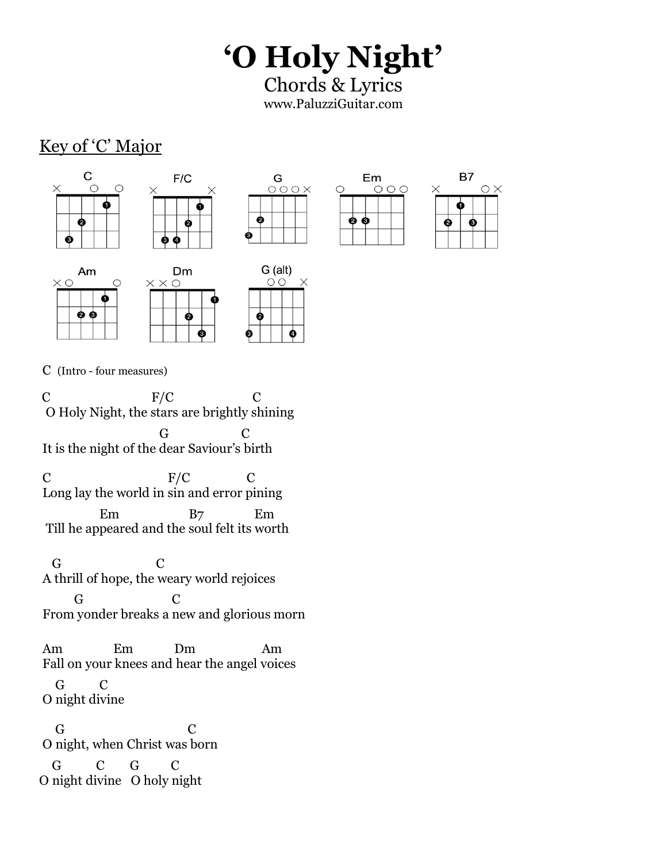## **'O Holy Night'**

Chords & Lyrics www.PaluzziGuitar.com

## Key of 'C' Major







 $G$  (alt)

 $\circ$ 

ø





0 O

Am

 $\times$  O



C (Intro - four measures)

 $\subset$ ė

C F/C C O Holy Night, the stars are brightly shining G C It is the night of the dear Saviour's birth C F/C C

Long lay the world in sin and error pining Em B7 Em Till he appeared and the soul felt its worth

 G C A thrill of hope, the weary world rejoices G C From yonder breaks a new and glorious morn

Am Em Dm Am Fall on your knees and hear the angel voices G C

O night divine

G C O night, when Christ was born G C G C

O night divine O holy night